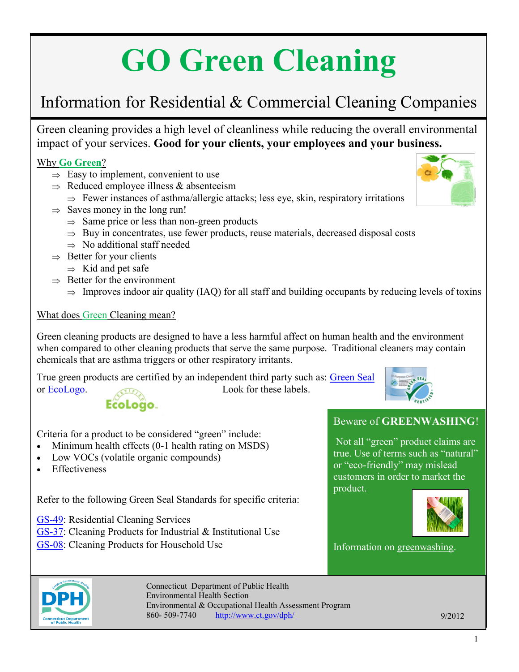# **GO Green Cleaning**

### Information for Residential & Commercial Cleaning Companies

Green cleaning provides a high level of cleanliness while reducing the overall environmental impact of your services. **Good for your clients, your employees and your business.**

#### Why **Go Green**?

- $\Rightarrow$  Easy to implement, convenient to use
- $\Rightarrow$  Reduced employee illness & absenteeism
	- $\Rightarrow$  Fewer instances of asthma/allergic attacks; less eye, skin, respiratory irritations
- $\Rightarrow$  Saves money in the long run!
	- $\Rightarrow$  Same price or less than non-green products
	- $\Rightarrow$  Buy in concentrates, use fewer products, reuse materials, decreased disposal costs
	- $\Rightarrow$  No additional staff needed
- $\Rightarrow$  Better for your clients
	- $\Rightarrow$  Kid and pet safe
- $\Rightarrow$  Better for the environment
	- $\Rightarrow$  Improves indoor air quality (IAQ) for all staff and building occupants by reducing levels of toxins

#### What does Green Cleaning mean?

Green cleaning products are designed to have a less harmful affect on human health and the environment when compared to other cleaning products that serve the same purpose. Traditional cleaners may contain chemicals that are asthma triggers or other respiratory irritants.

True green products are certified by an independent third party such as: [Green Seal](http://www.greenseal.org)



## EcoLogo.

or [EcoLogo.](http://www.ecologo.org/en/index.asp) Look for these labels.

#### Criteria for a product to be considered "green" include:

- Minimum health effects (0-1 health rating on MSDS)
- Low VOCs (volatile organic compounds)
- **Effectiveness**

Refer to the following Green Seal Standards for specific criteria:

GS-[49:](http://www.greenseal.org/GreenBusiness/Standards.aspx?vid=ViewStandardDetail&cid=0&sid=36) Residential Cleaning Services

GS-[37:](http://www.greenseal.org/GreenBusiness/Standards.aspx?vid=ViewStandardDetail&cid=0&sid=23) Cleaning Products for Industrial & Institutional Use

GS-[08:](http://www.greenseal.org/GreenBusiness/Standards.aspx?vid=ViewStandardDetail&cid=0&sid=1) Cleaning Products for Household Use

#### Beware of **GREENWASHING**!

Not all "green" product claims are true. Use of terms such as "natural" or "eco-friendly" may mislead customers in order to market the product.



Information on [greenwashing.](http://sinsofgreenwashing.org/)



Connecticut Department of Public Health [Environmental Health Section](http://www.ct.gov/dph/taxonomy/ct_taxonomy.asp?DLN=46944) Environmental & Occupational Health Assessment Program 860- 509-7740 <http://www.ct.gov/dph/> 9/2012